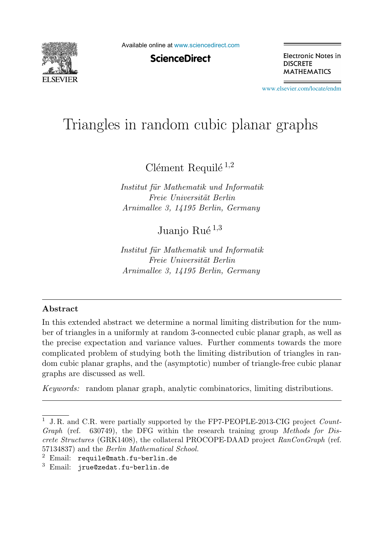

Available online at [www.sciencedirect.com](http://www.sciencedirect.com)

**ScienceDirect** 

Electronic Notes in **DISCRETE MATHEMATICS** 

[www.elsevier.com/locate/endm](http://www.elsevier.com/locate/endm)

# Triangles in random cubic planar graphs

 $C$ lément Requilé  $^{1,2}$ 

*Institut f¨ur Mathematik und Informatik Freie Universit¨at Berlin Arnimallee 3, 14195 Berlin, Germany*

Juanio Rué  $^{1,3}$ 

*Institut f¨ur Mathematik und Informatik Freie Universit¨at Berlin Arnimallee 3, 14195 Berlin, Germany*

#### **Abstract**

In this extended abstract we determine a normal limiting distribution for the number of triangles in a uniformly at random 3-connected cubic planar graph, as well as the precise expectation and variance values. Further comments towards the more complicated problem of studying both the limiting distribution of triangles in random cubic planar graphs, and the (asymptotic) number of triangle-free cubic planar graphs are discussed as well.

*Keywords:* random planar graph, analytic combinatorics, limiting distributions.

<sup>1</sup> J. R. and C.R. were partially supported by the FP7-PEOPLE-2013-CIG project *Count-Graph* (ref. 630749), the DFG within the research training group *Methods for Discrete Structures* (GRK1408), the collateral PROCOPE-DAAD project *RanConGraph* (ref. 57134837) and the *Berlin Mathematical School.*

 $2$  Email: requile@math.fu-berlin.de

<sup>3</sup> Email: jrue@zedat.fu-berlin.de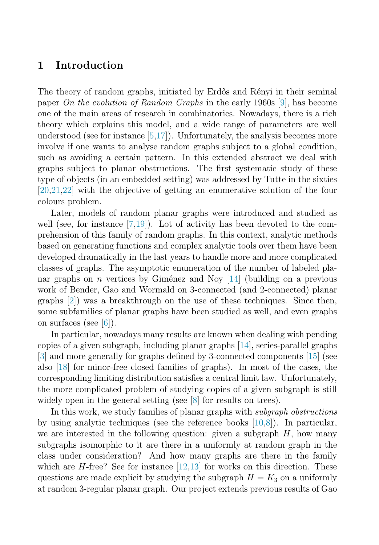# **1 Introduction**

The theory of random graphs, initiated by Erdős and Rényi in their seminal paper On the evolution of Random Graphs in the early 1960s [\[9\]](#page-7-0), has become one of the main areas of research in combinatorics. Nowadays, there is a rich theory which explains this model, and a wide range of parameters are well understood (see for instance [\[5,](#page-7-0)[17\]](#page-8-0)). Unfortunately, the analysis becomes more involve if one wants to analyse random graphs subject to a global condition, such as avoiding a certain pattern. In this extended abstract we deal with graphs subject to planar obstructions. The first systematic study of these type of objects (in an embedded setting) was addressed by Tutte in the sixties [\[20,21,22\]](#page-8-0) with the objective of getting an enumerative solution of the four colours problem.

Later, models of random planar graphs were introduced and studied as well (see, for instance  $[7,19]$  $[7,19]$ ). Lot of activity has been devoted to the comprehension of this family of random graphs. In this context, analytic methods based on generating functions and complex analytic tools over them have been developed dramatically in the last years to handle more and more complicated classes of graphs. The asymptotic enumeration of the number of labeled planar graphs on n vertices by Giménez and Noy  $[14]$  (building on a previous work of Bender, Gao and Wormald on 3-connected (and 2-connected) planar graphs [\[2\]](#page-7-0)) was a breakthrough on the use of these techniques. Since then, some subfamilies of planar graphs have been studied as well, and even graphs on surfaces (see [\[6\]](#page-7-0)).

In particular, nowadays many results are known when dealing with pending copies of a given subgraph, including planar graphs [\[14\]](#page-8-0), series-parallel graphs [\[3\]](#page-7-0) and more generally for graphs defined by 3-connected components [\[15\]](#page-8-0) (see also [\[18\]](#page-8-0) for minor-free closed families of graphs). In most of the cases, the corresponding limiting distribution satisfies a central limit law. Unfortunately, the more complicated problem of studying copies of a given subgraph is still widely open in the general setting (see [\[8\]](#page-7-0) for results on trees).

In this work, we study families of planar graphs with *subgraph obstructions* by using analytic techniques (see the reference books [\[10](#page-8-0)[,8\]](#page-7-0)). In particular, we are interested in the following question: given a subgraph  $H$ , how many subgraphs isomorphic to it are there in a uniformly at random graph in the class under consideration? And how many graphs are there in the family which are  $H$ -free? See for instance  $[12,13]$  for works on this direction. These questions are made explicit by studying the subgraph  $H = K_3$  on a uniformly at random 3-regular planar graph. Our project extends previous results of Gao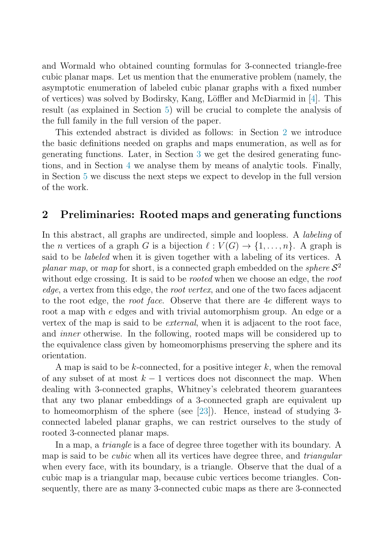and Wormald who obtained counting formulas for 3-connected triangle-free cubic planar maps. Let us mention that the enumerative problem (namely, the asymptotic enumeration of labeled cubic planar graphs with a fixed number of vertices) was solved by Bodirsky, Kang, Löffler and McDiarmid in  $[4]$ . This result (as explained in Section [5\)](#page-6-0) will be crucial to complete the analysis of the full family in the full version of the paper.

This extended abstract is divided as follows: in Section 2 we introduce the basic definitions needed on graphs and maps enumeration, as well as for generating functions. Later, in Section [3](#page-3-0) we get the desired generating functions, and in Section [4](#page-5-0) we analyse them by means of analytic tools. Finally, in Section [5](#page-6-0) we discuss the next steps we expect to develop in the full version of the work.

## **2 Preliminaries: Rooted maps and generating functions**

In this abstract, all graphs are undirected, simple and loopless. A labeling of the *n* vertices of a graph G is a bijection  $\ell : V(G) \to \{1, \ldots, n\}$ . A graph is said to be *labeled* when it is given together with a labeling of its vertices. A planar map, or map for short, is a connected graph embedded on the *sphere*  $S^2$ without edge crossing. It is said to be *rooted* when we choose an edge, the root edge, a vertex from this edge, the root vertex, and one of the two faces adjacent to the root edge, the root face. Observe that there are 4e different ways to root a map with e edges and with trivial automorphism group. An edge or a vertex of the map is said to be external, when it is adjacent to the root face, and inner otherwise. In the following, rooted maps will be considered up to the equivalence class given by homeomorphisms preserving the sphere and its orientation.

A map is said to be k-connected, for a positive integer  $k$ , when the removal of any subset of at most  $k-1$  vertices does not disconnect the map. When dealing with 3-connected graphs, Whitney's celebrated theorem guarantees that any two planar embeddings of a 3-connected graph are equivalent up to homeomorphism of the sphere (see [\[23\]](#page-8-0)). Hence, instead of studying 3 connected labeled planar graphs, we can restrict ourselves to the study of rooted 3-connected planar maps.

In a map, a *triangle* is a face of degree three together with its boundary. A map is said to be *cubic* when all its vertices have degree three, and *triangular* when every face, with its boundary, is a triangle. Observe that the dual of a cubic map is a triangular map, because cubic vertices become triangles. Consequently, there are as many 3-connected cubic maps as there are 3-connected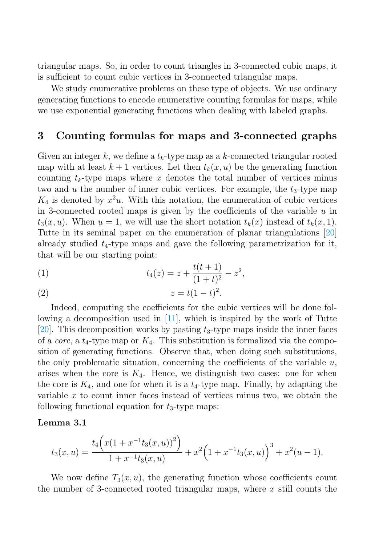<span id="page-3-0"></span>triangular maps. So, in order to count triangles in 3-connected cubic maps, it is sufficient to count cubic vertices in 3-connected triangular maps.

We study enumerative problems on these type of objects. We use ordinary generating functions to encode enumerative counting formulas for maps, while we use exponential generating functions when dealing with labeled graphs.

## **3 Counting formulas for maps and 3-connected graphs**

Given an integer k, we define a  $t_k$ -type map as a k-connected triangular rooted map with at least  $k+1$  vertices. Let then  $t_k(x, u)$  be the generating function counting  $t_k$ -type maps where x denotes the total number of vertices minus two and u the number of inner cubic vertices. For example, the  $t_3$ -type map  $K_4$  is denoted by  $x^2u$ . With this notation, the enumeration of cubic vertices in 3-connected rooted maps is given by the coefficients of the variable  $u$  in  $t_3(x, u)$ . When  $u = 1$ , we will use the short notation  $t_k(x)$  instead of  $t_k(x, 1)$ . Tutte in its seminal paper on the enumeration of planar triangulations [\[20\]](#page-8-0) already studied  $t_4$ -type maps and gave the following parametrization for it, that will be our starting point:

(1) 
$$
t_4(z) = z + \frac{t(t+1)}{(1+t)^2} - z^2,
$$

$$
(2) \qquad \qquad z = t(1-t)^2.
$$

Indeed, computing the coefficients for the cubic vertices will be done following a decomposition used in  $[11]$ , which is inspired by the work of Tutte [\[20\]](#page-8-0). This decomposition works by pasting  $t_3$ -type maps inside the inner faces of a *core*, a  $t_4$ -type map or  $K_4$ . This substitution is formalized via the composition of generating functions. Observe that, when doing such substitutions, the only problematic situation, concerning the coefficients of the variable  $u$ , arises when the core is  $K_4$ . Hence, we distinguish two cases: one for when the core is  $K_4$ , and one for when it is a  $t_4$ -type map. Finally, by adapting the variable  $x$  to count inner faces instead of vertices minus two, we obtain the following functional equation for  $t_3$ -type maps:

#### **Lemma 3.1**

$$
t_3(x,u) = \frac{t_4\left(x(1+x^{-1}t_3(x,u))^2\right)}{1+x^{-1}t_3(x,u)} + x^2\left(1+x^{-1}t_3(x,u)\right)^3 + x^2(u-1).
$$

We now define  $T_3(x, u)$ , the generating function whose coefficients count the number of 3-connected rooted triangular maps, where  $x$  still counts the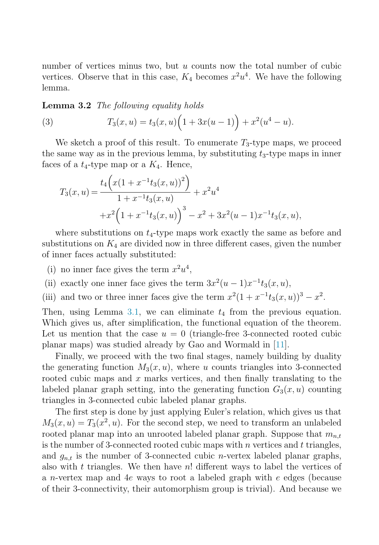<span id="page-4-0"></span>number of vertices minus two, but  $u$  counts now the total number of cubic vertices. Observe that in this case,  $K_4$  becomes  $x^2u^4$ . We have the following lemma.

**Lemma 3.2** The following equality holds

(3) 
$$
T_3(x, u) = t_3(x, u) \left(1 + 3x(u - 1)\right) + x^2(u^4 - u).
$$

We sketch a proof of this result. To enumerate  $T_3$ -type maps, we proceed the same way as in the previous lemma, by substituting  $t_3$ -type maps in inner faces of a  $t_4$ -type map or a  $K_4$ . Hence,

$$
T_3(x, u) = \frac{t_4\left(x(1 + x^{-1}t_3(x, u))^2\right)}{1 + x^{-1}t_3(x, u)} + x^2u^4
$$
  
+
$$
+x^2\left(1 + x^{-1}t_3(x, u)\right)^3 - x^2 + 3x^2(u - 1)x^{-1}t_3(x, u),
$$

where substitutions on  $t_4$ -type maps work exactly the same as before and substitutions on  $K_4$  are divided now in three different cases, given the number of inner faces actually substituted:

- (i) no inner face gives the term  $x^2u^4$ ,
- (ii) exactly one inner face gives the term  $3x^2(u-1)x^{-1}t_3(x, u)$ ,
- (iii) and two or three inner faces give the term  $x^2(1 + x^{-1}t_3(x, u))^3 x^2$ .

Then, using Lemma [3.1,](#page-3-0) we can eliminate  $t_4$  from the previous equation. Which gives us, after simplification, the functional equation of the theorem. Let us mention that the case  $u = 0$  (triangle-free 3-connected rooted cubic planar maps) was studied already by Gao and Wormald in [\[11\]](#page-8-0).

Finally, we proceed with the two final stages, namely building by duality the generating function  $M_3(x, u)$ , where u counts triangles into 3-connected rooted cubic maps and  $x$  marks vertices, and then finally translating to the labeled planar graph setting, into the generating function  $G_3(x, u)$  counting triangles in 3-connected cubic labeled planar graphs.

The first step is done by just applying Euler's relation, which gives us that  $M_3(x, u) = T_3(x^2, u)$ . For the second step, we need to transform an unlabeled rooted planar map into an unrooted labeled planar graph. Suppose that  $m_{n,t}$ is the number of 3-connected rooted cubic maps with n vertices and  $t$  triangles, and  $g_{n,t}$  is the number of 3-connected cubic *n*-vertex labeled planar graphs, also with t triangles. We then have  $n!$  different ways to label the vertices of a n-vertex map and 4e ways to root a labeled graph with e edges (because of their 3-connectivity, their automorphism group is trivial). And because we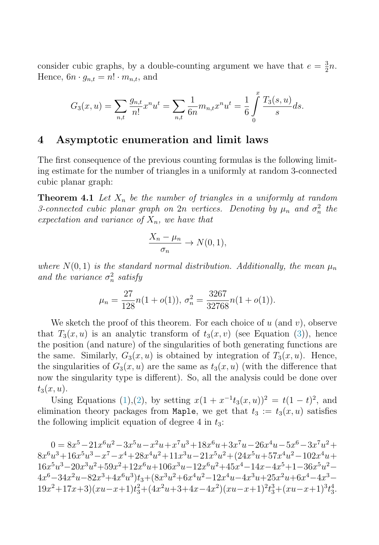<span id="page-5-0"></span>consider cubic graphs, by a double-counting argument we have that  $e = \frac{3}{2}n$ . Hence,  $6n \cdot g_{n,t} = n! \cdot m_{n,t}$ , and

$$
G_3(x, u) = \sum_{n,t} \frac{g_{n,t}}{n!} x^n u^t = \sum_{n,t} \frac{1}{6n} m_{n,t} x^n u^t = \frac{1}{6} \int_0^\infty \frac{T_3(s, u)}{s} ds.
$$

 $\boldsymbol{r}$ 

## **4 Asymptotic enumeration and limit laws**

The first consequence of the previous counting formulas is the following limiting estimate for the number of triangles in a uniformly at random 3-connected cubic planar graph:

**Theorem 4.1** Let  $X_n$  be the number of triangles in a uniformly at random 3-connected cubic planar graph on  $2n$  vertices. Denoting by  $\mu_n$  and  $\sigma_n^2$  the expectation and variance of  $X_n$ , we have that

$$
\frac{X_n - \mu_n}{\sigma_n} \to N(0, 1),
$$

where  $N(0, 1)$  is the standard normal distribution. Additionally, the mean  $\mu_n$ and the variance  $\sigma_n^2$  satisfy

$$
\mu_n = \frac{27}{128} n(1 + o(1)), \sigma_n^2 = \frac{3267}{32768} n(1 + o(1)).
$$

We sketch the proof of this theorem. For each choice of  $u$  (and  $v$ ), observe that  $T_3(x, u)$  is an analytic transform of  $t_3(x, v)$  (see Equation [\(3\)](#page-4-0)), hence the position (and nature) of the singularities of both generating functions are the same. Similarly,  $G_3(x, u)$  is obtained by integration of  $T_3(x, u)$ . Hence, the singularities of  $G_3(x, u)$  are the same as  $t_3(x, u)$  (with the difference that now the singularity type is different). So, all the analysis could be done over  $t_3(x, u)$ .

Using Equations [\(1\)](#page-3-0),[\(2\)](#page-3-0), by setting  $x(1 + x^{-1}t_3(x, u))^2 = t(1 - t)^2$ , and elimination theory packages from Maple, we get that  $t_3 := t_3(x, u)$  satisfies the following implicit equation of degree 4 in  $t_3$ :

 $0=8x^5-21x^6u^2-3x^5u-x^2u+x^7u^3+18x^6u+3x^7u-26x^4u-5x^6-3x^7u^2+$  $8x^{6}u^{3}+16x^{5}u^{3}-x^{7}-x^{4}+28x^{4}u^{2}+11x^{3}u-21x^{5}u^{2}+(24x^{5}u+57x^{4}u^{2}-102x^{4}u+$  $16x^5u^3-20x^3u^2+59x^2+12x^6u+106x^3u-12x^6u^2+45x^4-14x-4x^5+1-36x^5u^2 4x^6-34x^2u-82x^3+4x^6u^3)t_3+(8x^3u^2+6x^4u^2-12x^4u-4x^3u+25x^2u+6x^4-4x^3 19x^2+17x+3(xu-x+1)t<sub>3</sub><sup>2</sup>+(4x<sup>2</sup>u+3+4x-4x<sup>2</sup>)(xu-x+1)<sup>2</sup>t<sub>3</sub><sup>3</sup>+(xu-x+1)<sup>3</sup>t<sub>3</sub><sup>4</sup>.$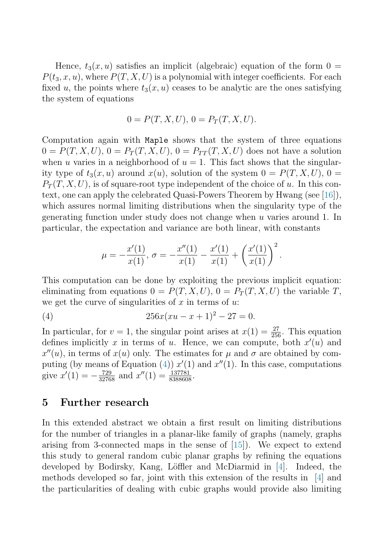<span id="page-6-0"></span>Hence,  $t_3(x, u)$  satisfies an implicit (algebraic) equation of the form  $0 =$  $P(t_3, x, u)$ , where  $P(T, X, U)$  is a polynomial with integer coefficients. For each fixed u, the points where  $t_3(x, u)$  ceases to be analytic are the ones satisfying the system of equations

$$
0 = P(T, X, U), 0 = P_T(T, X, U).
$$

Computation again with Maple shows that the system of three equations  $0 = P(T, X, U), 0 = P_T(T, X, U), 0 = P_{TT}(T, X, U)$  does not have a solution when u varies in a neighborhood of  $u = 1$ . This fact shows that the singularity type of  $t_3(x, u)$  around  $x(u)$ , solution of the system  $0 = P(T, X, U)$ ,  $0 =$  $P_T(T, X, U)$ , is of square-root type independent of the choice of u. In this context, one can apply the celebrated Quasi-Powers Theorem by Hwang (see [\[16\]](#page-8-0)), which assures normal limiting distributions when the singularity type of the generating function under study does not change when u varies around 1. In particular, the expectation and variance are both linear, with constants

$$
\mu = -\frac{x'(1)}{x(1)}, \sigma = -\frac{x''(1)}{x(1)} - \frac{x'(1)}{x(1)} + \left(\frac{x'(1)}{x(1)}\right)^2.
$$

This computation can be done by exploiting the previous implicit equation: eliminating from equations  $0 = P(T, X, U)$ ,  $0 = P_T(T, X, U)$  the variable T, we get the curve of singularities of  $x$  in terms of  $u$ :

(4) 
$$
256x(xu - x + 1)^2 - 27 = 0.
$$

In particular, for  $v = 1$ , the singular point arises at  $x(1) = \frac{27}{256}$ . This equation defines implicitly x in terms of u. Hence, we can compute, both  $x'(u)$  and  $x''(u)$ , in terms of  $x(u)$  only. The estimates for  $\mu$  and  $\sigma$  are obtained by computing (by means of Equation (4))  $x'(1)$  and  $x''(1)$ . In this case, computations give  $x'(1) = -\frac{729}{32768}$  and  $x''(1) = \frac{137781}{8388608}$ .

#### **5 Further research**

In this extended abstract we obtain a first result on limiting distributions for the number of triangles in a planar-like family of graphs (namely, graphs arising from 3-connected maps in the sense of [\[15\]](#page-8-0)). We expect to extend this study to general random cubic planar graphs by refining the equations developed by Bodirsky, Kang, Löffler and McDiarmid in  $[4]$ . Indeed, the methods developed so far, joint with this extension of the results in [\[4\]](#page-7-0) and the particularities of dealing with cubic graphs would provide also limiting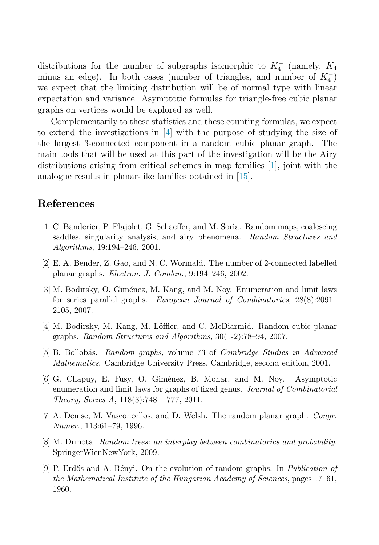<span id="page-7-0"></span>distributions for the number of subgraphs isomorphic to  $K_4^-$  (namely,  $K_4$ minus an edge). In both cases (number of triangles, and number of  $K_4^-$ ) we expect that the limiting distribution will be of normal type with linear expectation and variance. Asymptotic formulas for triangle-free cubic planar graphs on vertices would be explored as well.

Complementarily to these statistics and these counting formulas, we expect to extend the investigations in [4] with the purpose of studying the size of the largest 3-connected component in a random cubic planar graph. The main tools that will be used at this part of the investigation will be the Airy distributions arising from critical schemes in map families [1], joint with the analogue results in planar-like families obtained in [\[15\]](#page-8-0).

## **References**

- [1] C. Banderier, P. Flajolet, G. Schaeffer, and M. Soria. Random maps, coalescing saddles, singularity analysis, and airy phenomena. *Random Structures and Algorithms*, 19:194–246, 2001.
- [2] E. A. Bender, Z. Gao, and N. C. Wormald. The number of 2-connected labelled planar graphs. *Electron. J. Combin.*, 9:194–246, 2002.
- [3] M. Bodirsky, O. Giménez, M. Kang, and M. Noy. Enumeration and limit laws for series–parallel graphs. *European Journal of Combinatorics*, 28(8):2091– 2105, 2007.
- [4] M. Bodirsky, M. Kang, M. Löffler, and C. McDiarmid. Random cubic planar graphs. *Random Structures and Algorithms*, 30(1-2):78–94, 2007.
- [5] B. Bollob´as. *Random graphs*, volume 73 of *Cambridge Studies in Advanced Mathematics*. Cambridge University Press, Cambridge, second edition, 2001.
- [6] G. Chapuy, E. Fusy, O. Gim´enez, B. Mohar, and M. Noy. Asymptotic enumeration and limit laws for graphs of fixed genus. *Journal of Combinatorial Theory, Series A*, 118(3):748 – 777, 2011.
- [7] A. Denise, M. Vasconcellos, and D. Welsh. The random planar graph. *Congr. Numer.*, 113:61–79, 1996.
- [8] M. Drmota. *Random trees: an interplay between combinatorics and probability*. SpringerWienNewYork, 2009.
- [9] P. Erd˝os and A. R´enyi. On the evolution of random graphs. In *Publication of the Mathematical Institute of the Hungarian Academy of Sciences*, pages 17–61, 1960.